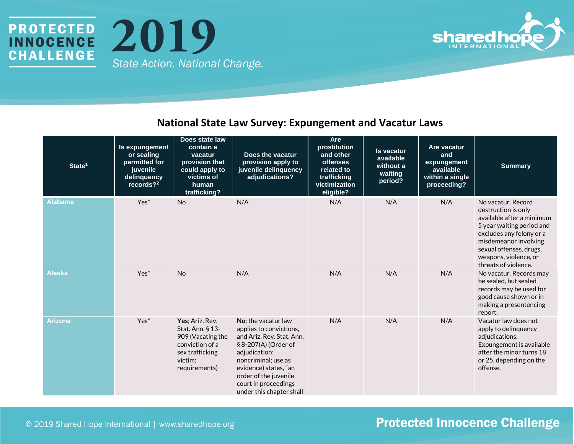



#### **National State Law Survey: Expungement and Vacatur Laws**

| State <sup>1</sup> | Is expungement<br>or sealing<br>permitted for<br>juvenile<br>delinquency<br>records? <sup>2</sup> | Does state law<br>contain a<br>vacatur<br>provision that<br>could apply to<br>victims of<br>human<br>trafficking?          | Does the vacatur<br>provision apply to<br>juvenile delinquency<br>adjudications?                                                                                                                                                                  | Are<br>prostitution<br>and other<br><b>offenses</b><br>related to<br>trafficking<br>victimization<br>eligible? | <b>Is vacatur</b><br>available<br>without a<br>waiting<br>period? | Are vacatur<br>and<br>expungement<br>available<br>within a single<br>proceeding? | <b>Summary</b>                                                                                                                                                                                                                       |
|--------------------|---------------------------------------------------------------------------------------------------|----------------------------------------------------------------------------------------------------------------------------|---------------------------------------------------------------------------------------------------------------------------------------------------------------------------------------------------------------------------------------------------|----------------------------------------------------------------------------------------------------------------|-------------------------------------------------------------------|----------------------------------------------------------------------------------|--------------------------------------------------------------------------------------------------------------------------------------------------------------------------------------------------------------------------------------|
| <b>Alabama</b>     | Yes*                                                                                              | <b>No</b>                                                                                                                  | N/A                                                                                                                                                                                                                                               | N/A                                                                                                            | N/A                                                               | N/A                                                                              | No vacatur. Record<br>destruction is only<br>available after a minimum<br>5 year waiting period and<br>excludes any felony or a<br>misdemeanor involving<br>sexual offenses, drugs,<br>weapons, violence, or<br>threats of violence. |
| <b>Alaska</b>      | Yes <sup>*</sup>                                                                                  | <b>No</b>                                                                                                                  | N/A                                                                                                                                                                                                                                               | N/A                                                                                                            | N/A                                                               | N/A                                                                              | No vacatur. Records may<br>be sealed, but sealed<br>records may be used for<br>good cause shown or in<br>making a presentencing<br>report.                                                                                           |
| <b>Arizona</b>     | Yes <sup>*</sup>                                                                                  | Yes; Ariz. Rev.<br>Stat. Ann. § 13-<br>909 (Vacating the<br>conviction of a<br>sex trafficking<br>victim;<br>requirements) | No; the vacatur law<br>applies to convictions,<br>and Ariz. Rev. Stat. Ann.<br>§ 8-207(A) (Order of<br>adjudication;<br>noncriminal; use as<br>evidence) states, "an<br>order of the juvenile<br>court in proceedings<br>under this chapter shall | N/A                                                                                                            | N/A                                                               | N/A                                                                              | Vacatur law does not<br>apply to delinquency<br>adjudications.<br>Expungement is available<br>after the minor turns 18<br>or 25, depending on the<br>offense.                                                                        |

#### © 2019 Shared Hope International | www.sharedhope.org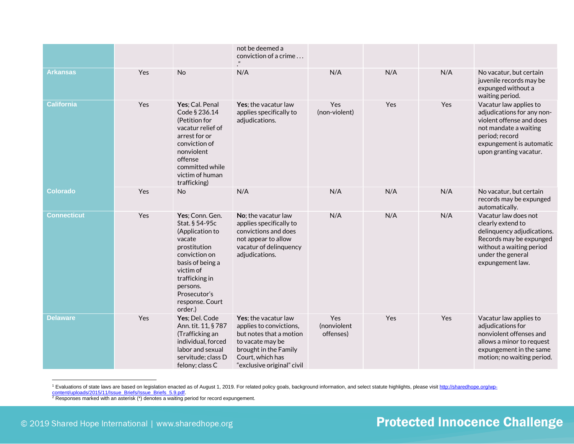|                    |     |                                                                                                                                                                                                              | not be deemed a<br>conviction of a crime<br>$\boldsymbol{\eta}$                                                                                                           |                                 |     |     |                                                                                                                                                                                   |
|--------------------|-----|--------------------------------------------------------------------------------------------------------------------------------------------------------------------------------------------------------------|---------------------------------------------------------------------------------------------------------------------------------------------------------------------------|---------------------------------|-----|-----|-----------------------------------------------------------------------------------------------------------------------------------------------------------------------------------|
| <b>Arkansas</b>    | Yes | <b>No</b>                                                                                                                                                                                                    | N/A                                                                                                                                                                       | N/A                             | N/A | N/A | No vacatur, but certain<br>juvenile records may be<br>expunged without a<br>waiting period.                                                                                       |
| <b>California</b>  | Yes | Yes; Cal. Penal<br>Code § 236.14<br>(Petition for<br>vacatur relief of<br>arrest for or<br>conviction of<br>nonviolent<br>offense<br>committed while<br>victim of human<br>trafficking)                      | Yes; the vacatur law<br>applies specifically to<br>adjudications.                                                                                                         | Yes<br>(non-violent)            | Yes | Yes | Vacatur law applies to<br>adjudications for any non-<br>violent offense and does<br>not mandate a waiting<br>period; record<br>expungement is automatic<br>upon granting vacatur. |
| <b>Colorado</b>    | Yes | No                                                                                                                                                                                                           | N/A                                                                                                                                                                       | N/A                             | N/A | N/A | No vacatur, but certain<br>records may be expunged<br>automatically.                                                                                                              |
| <b>Connecticut</b> | Yes | Yes; Conn. Gen.<br>Stat. § 54-95c<br>(Application to<br>vacate<br>prostitution<br>conviction on<br>basis of being a<br>victim of<br>trafficking in<br>persons.<br>Prosecutor's<br>response. Court<br>order.) | No; the vacatur law<br>applies specifically to<br>convictions and does<br>not appear to allow<br>vacatur of delinquency<br>adjudications.                                 | N/A                             | N/A | N/A | Vacatur law does not<br>clearly extend to<br>delinquency adjudications.<br>Records may be expunged<br>without a waiting period<br>under the general<br>expungement law.           |
| <b>Delaware</b>    | Yes | Yes; Del. Code<br>Ann. tit. 11, § 787<br>(Trafficking an<br>individual, forced<br>labor and sexual<br>servitude; class D<br>felony; class C                                                                  | Yes; the vacatur law<br>applies to convictions,<br>but notes that a motion<br>to vacate may be<br>brought in the Family<br>Court, which has<br>"exclusive original" civil | Yes<br>(nonviolent<br>offenses) | Yes | Yes | Vacatur law applies to<br>adjudications for<br>nonviolent offenses and<br>allows a minor to request<br>expungement in the same<br>motion; no waiting period.                      |

<sup>&</sup>lt;sup>1</sup> Evaluations of state laws are based on legislation enacted as of August 1, 2019. For related policy goals, background information, and select statute highlights, please visi[t http://sharedhope.org/wp](http://sharedhope.org/wp-content/uploads/2015/11/Issue_Briefs/Issue_Briefs_5.9.pdf)content/uploads/2015/11/Issue\_Briefs/Issue\_Briefs\_5.9.pdf.

 $2$  Responses marked with an asterisk (\*) denotes a waiting period for record expungement.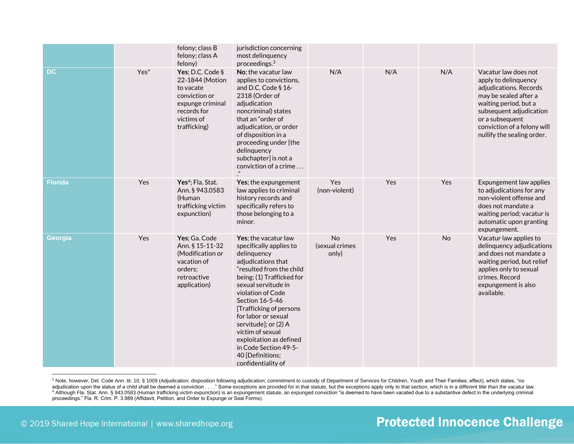|                |                  | felony; class B<br>felony; class A<br>felony)                                                                                      | jurisdiction concerning<br>most delinquency<br>proceedings. $3$                                                                                                                                                                                                                                                                                                                                          |                               |     |           |                                                                                                                                                                                                                                     |
|----------------|------------------|------------------------------------------------------------------------------------------------------------------------------------|----------------------------------------------------------------------------------------------------------------------------------------------------------------------------------------------------------------------------------------------------------------------------------------------------------------------------------------------------------------------------------------------------------|-------------------------------|-----|-----------|-------------------------------------------------------------------------------------------------------------------------------------------------------------------------------------------------------------------------------------|
| <b>DC</b>      | Yes <sup>*</sup> | Yes; D.C. Code §<br>22-1844 (Motion<br>to vacate<br>conviction or<br>expunge criminal<br>records for<br>victims of<br>trafficking) | No; the vacatur law<br>applies to convictions,<br>and D.C. Code § 16-<br>2318 (Order of<br>adjudication<br>noncriminal) states<br>that an "order of<br>adjudication, or order<br>of disposition in a<br>proceeding under [the<br>delinquency<br>subchapter] is not a<br>conviction of a crime                                                                                                            | N/A                           | N/A | N/A       | Vacatur law does not<br>apply to delinquency<br>adjudications. Records<br>may be sealed after a<br>waiting period, but a<br>subsequent adjudication<br>or a subsequent<br>conviction of a felony will<br>nullify the sealing order. |
| <b>Florida</b> | Yes              | Yes <sup>4</sup> ; Fla. Stat.<br>Ann. § 943.0583<br>(Human<br>trafficking victim<br>expunction)                                    | Yes; the expungement<br>law applies to criminal<br>history records and<br>specifically refers to<br>those belonging to a<br>minor.                                                                                                                                                                                                                                                                       | Yes<br>(non-violent)          | Yes | Yes       | Expungement law applies<br>to adjudications for any<br>non-violent offense and<br>does not mandate a<br>waiting period; vacatur is<br>automatic upon granting<br>expungement.                                                       |
| Georgia        | Yes              | Yes; Ga. Code<br>Ann. § 15-11-32<br>(Modification or<br>vacation of<br>orders;<br>retroactive<br>application)                      | Yes; the vacatur law<br>specifically applies to<br>delinquency<br>adjudications that<br>"resulted from the child<br>being: (1) Trafficked for<br>sexual servitude in<br>violation of Code<br>Section 16-5-46<br>[Trafficking of persons<br>for labor or sexual<br>servitude]; or (2) A<br>victim of sexual<br>exploitation as defined<br>in Code Section 49-5-<br>40 [Definitions;<br>confidentiality of | No<br>(sexual crimes<br>only) | Yes | <b>No</b> | Vacatur law applies to<br>delinquency adjudications<br>and does not mandate a<br>waiting period, but relief<br>applies only to sexual<br>crimes. Record<br>expungement is also<br>available.                                        |

<sup>&</sup>lt;sup>3</sup> Note, however, Del. Code Ann. tit. 10, § 1009 (Adjudication; disposition following adjudication; commitment to custody of Department of Services for Children, Youth and Their Families; effect), which states, "no adjudication upon the status of a child shall be deemed a conviction . . . " Some exceptions are provided for in that statute, but the exceptions apply only to that section, which is in a different title than the vacatur l <sup>4</sup> Although Fla. Stat. Ann. § 943.0583 (Human trafficking victim expunction) is an expungement statute, an expunged conviction "is deemed to have been vacated due to a substantive defect in the underlying criminal proceedings." Fla. R. Crim. P. 3.989 (Affidavit, Petition, and Order to Expunge or Seal Forms).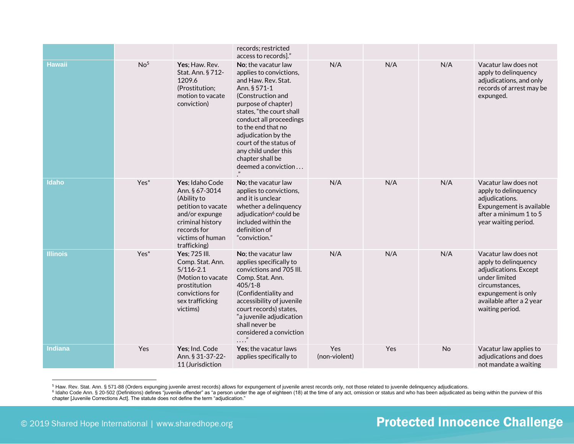|                 |                  |                                                                                                                                                                 | records; restricted                                                                                                                                                                                                                                                                                                                                          |                      |     |     |                                                                                                                                                                                |
|-----------------|------------------|-----------------------------------------------------------------------------------------------------------------------------------------------------------------|--------------------------------------------------------------------------------------------------------------------------------------------------------------------------------------------------------------------------------------------------------------------------------------------------------------------------------------------------------------|----------------------|-----|-----|--------------------------------------------------------------------------------------------------------------------------------------------------------------------------------|
| <b>Hawaii</b>   | No <sup>5</sup>  | Yes; Haw. Rev.<br>Stat. Ann. § 712-<br>1209.6<br>(Prostitution;<br>motion to vacate<br>conviction)                                                              | access to records]."<br>No; the vacatur law<br>applies to convictions,<br>and Haw. Rev. Stat.<br>Ann. § 571-1<br>(Construction and<br>purpose of chapter)<br>states, "the court shall<br>conduct all proceedings<br>to the end that no<br>adjudication by the<br>court of the status of<br>any child under this<br>chapter shall be<br>$deemed$ a conviction | N/A                  | N/A | N/A | Vacatur law does not<br>apply to delinquency<br>adjudications, and only<br>records of arrest may be<br>expunged.                                                               |
| <b>Idaho</b>    | Yes <sup>*</sup> | Yes; Idaho Code<br>Ann. § 67-3014<br>(Ability to<br>petition to vacate<br>and/or expunge<br>criminal history<br>records for<br>victims of human<br>trafficking) | No: the vacatur law<br>applies to convictions,<br>and it is unclear<br>whether a delinquency<br>adjudication <sup>6</sup> could be<br>included within the<br>definition of<br>"conviction."                                                                                                                                                                  | N/A                  | N/A | N/A | Vacatur law does not<br>apply to delinquency<br>adjudications.<br>Expungement is available<br>after a minimum 1 to 5<br>year waiting period.                                   |
| <b>Illinois</b> | Yes <sup>*</sup> | Yes: 725 III.<br>Comp. Stat. Ann.<br>$5/116 - 2.1$<br>(Motion to vacate<br>prostitution<br>convictions for<br>sex trafficking<br>victims)                       | No; the vacatur law<br>applies specifically to<br>convictions and 705 III.<br>Comp. Stat. Ann.<br>$405/1 - 8$<br>(Confidentiality and<br>accessibility of juvenile<br>court records) states,<br>"a juvenile adjudication<br>shall never be<br>considered a conviction                                                                                        | N/A                  | N/A | N/A | Vacatur law does not<br>apply to delinquency<br>adjudications. Except<br>under limited<br>circumstances.<br>expungement is only<br>available after a 2 year<br>waiting period. |
| Indiana         | Yes              | Yes; Ind. Code<br>Ann. § 31-37-22-<br>11 (Jurisdiction                                                                                                          | Yes; the vacatur laws<br>applies specifically to                                                                                                                                                                                                                                                                                                             | Yes<br>(non-violent) | Yes | No  | Vacatur law applies to<br>adjudications and does<br>not mandate a waiting                                                                                                      |

<sup>5</sup> Haw. Rev. Stat. Ann. § 571-88 (Orders expunging juvenile arrest records) allows for expungement of juvenile arrest records only, not those related to juvenile delinquency adjudications.<br><sup>6</sup> Idaho Code Ann. § 20-502 (Defi chapter [Juvenile Corrections Act]. The statute does not define the term "adjudication."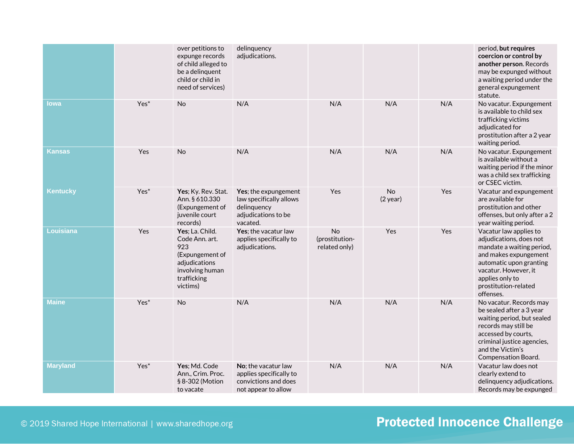|                  |                  | over petitions to<br>expunge records<br>of child alleged to<br>be a delinquent<br>child or child in<br>need of services)   | delinquency<br>adjudications.                                                                     |                                       |                         |     | period, but requires<br>coercion or control by<br>another person. Records<br>may be expunged without<br>a waiting period under the<br>general expungement<br>statute.                                              |
|------------------|------------------|----------------------------------------------------------------------------------------------------------------------------|---------------------------------------------------------------------------------------------------|---------------------------------------|-------------------------|-----|--------------------------------------------------------------------------------------------------------------------------------------------------------------------------------------------------------------------|
| lowa             | Yes <sup>*</sup> | No                                                                                                                         | N/A                                                                                               | N/A                                   | N/A                     | N/A | No vacatur. Expungement<br>is available to child sex<br>trafficking victims<br>adjudicated for<br>prostitution after a 2 year<br>waiting period.                                                                   |
| Kansas           | Yes              | <b>No</b>                                                                                                                  | N/A                                                                                               | N/A                                   | N/A                     | N/A | No vacatur. Expungement<br>is available without a<br>waiting period if the minor<br>was a child sex trafficking<br>or CSEC victim.                                                                                 |
| <b>Kentucky</b>  | Yes <sup>*</sup> | Yes; Ky. Rev. Stat.<br>Ann. § 610.330<br>(Expungement of<br>juvenile court<br>records)                                     | Yes; the expungement<br>law specifically allows<br>delinquency<br>adjudications to be<br>vacated. | Yes                                   | <b>No</b><br>$(2$ year) | Yes | Vacatur and expungement<br>are available for<br>prostitution and other<br>offenses, but only after a 2<br>year waiting period.                                                                                     |
| <b>Louisiana</b> | Yes              | Yes; La. Child.<br>Code Ann. art.<br>923<br>(Expungement of<br>adjudications<br>involving human<br>trafficking<br>victims) | Yes; the vacatur law<br>applies specifically to<br>adjudications.                                 | No<br>(prostitution-<br>related only) | Yes                     | Yes | Vacatur law applies to<br>adjudications, does not<br>mandate a waiting period,<br>and makes expungement<br>automatic upon granting<br>vacatur. However, it<br>applies only to<br>prostitution-related<br>offenses. |
| <b>Maine</b>     | Yes <sup>*</sup> | <b>No</b>                                                                                                                  | N/A                                                                                               | N/A                                   | N/A                     | N/A | No vacatur. Records may<br>be sealed after a 3 year<br>waiting period, but sealed<br>records may still be<br>accessed by courts,<br>criminal justice agencies,<br>and the Victim's<br>Compensation Board.          |
| <b>Maryland</b>  | Yes <sup>*</sup> | Yes; Md. Code<br>Ann., Crim. Proc.<br>§ 8-302 (Motion<br>to vacate                                                         | No; the vacatur law<br>applies specifically to<br>convictions and does<br>not appear to allow     | N/A                                   | N/A                     | N/A | Vacatur law does not<br>clearly extend to<br>delinquency adjudications.<br>Records may be expunged                                                                                                                 |

© 2019 Shared Hope International | www.sharedhope.org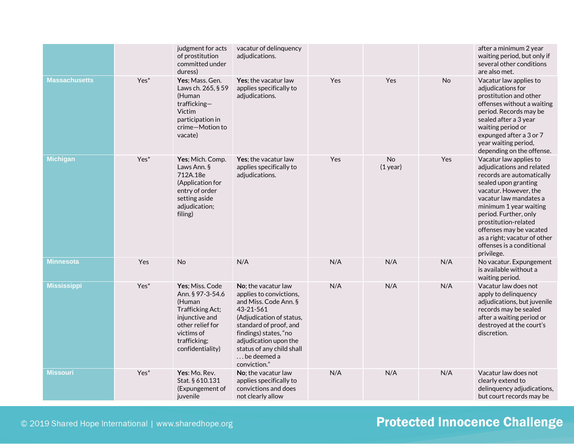|                      |                  | judgment for acts<br>of prostitution<br>committed under<br>duress)                                                                                        | vacatur of delinguency<br>adjudications.                                                                                                                                                                                                                         |            |                         |     | after a minimum 2 year<br>waiting period, but only if<br>several other conditions<br>are also met.                                                                                                                                                                                                                                           |
|----------------------|------------------|-----------------------------------------------------------------------------------------------------------------------------------------------------------|------------------------------------------------------------------------------------------------------------------------------------------------------------------------------------------------------------------------------------------------------------------|------------|-------------------------|-----|----------------------------------------------------------------------------------------------------------------------------------------------------------------------------------------------------------------------------------------------------------------------------------------------------------------------------------------------|
| <b>Massachusetts</b> | Yes <sup>*</sup> | Yes; Mass. Gen.<br>Laws ch. 265, § 59<br>(Human<br>$trafficking -$<br>Victim<br>participation in<br>crime-Motion to<br>vacate)                            | Yes; the vacatur law<br>applies specifically to<br>adjudications.                                                                                                                                                                                                | <b>Yes</b> | Yes                     | No  | Vacatur law applies to<br>adjudications for<br>prostitution and other<br>offenses without a waiting<br>period. Records may be<br>sealed after a 3 year<br>waiting period or<br>expunged after a 3 or 7<br>year waiting period,<br>depending on the offense.                                                                                  |
| <b>Michigan</b>      | Yes <sup>*</sup> | Yes; Mich. Comp.<br>Laws Ann. §<br>712A.18e<br>(Application for<br>entry of order<br>setting aside<br>adjudication;<br>filing)                            | Yes: the vacatur law<br>applies specifically to<br>adjudications.                                                                                                                                                                                                | Yes        | <b>No</b><br>$(1$ year) | Yes | Vacatur law applies to<br>adjudications and related<br>records are automatically<br>sealed upon granting<br>vacatur. However, the<br>vacatur law mandates a<br>minimum 1 year waiting<br>period. Further, only<br>prostitution-related<br>offenses may be vacated<br>as a right; vacatur of other<br>offenses is a conditional<br>privilege. |
| <b>Minnesota</b>     | Yes              | No                                                                                                                                                        | N/A                                                                                                                                                                                                                                                              | N/A        | N/A                     | N/A | No vacatur. Expungement<br>is available without a<br>waiting period.                                                                                                                                                                                                                                                                         |
| <b>Mississippi</b>   | Yes <sup>*</sup> | Yes; Miss. Code<br>Ann. § 97-3-54.6<br>(Human<br>Trafficking Act;<br>injunctive and<br>other relief for<br>victims of<br>trafficking;<br>confidentiality) | No; the vacatur law<br>applies to convictions,<br>and Miss. Code Ann. §<br>43-21-561<br>(Adjudication of status,<br>standard of proof, and<br>findings) states, "no<br>adjudication upon the<br>status of any child shall<br>$\dots$ be deemed a<br>conviction." | N/A        | N/A                     | N/A | Vacatur law does not<br>apply to delinquency<br>adjudications, but juvenile<br>records may be sealed<br>after a waiting period or<br>destroyed at the court's<br>discretion.                                                                                                                                                                 |
| <b>Missouri</b>      | Yes <sup>*</sup> | Yes: Mo. Rev.<br>Stat. § 610.131<br>(Expungement of<br>juvenile                                                                                           | No; the vacatur law<br>applies specifically to<br>convictions and does<br>not clearly allow                                                                                                                                                                      | N/A        | N/A                     | N/A | Vacatur law does not<br>clearly extend to<br>delinquency adjudications,<br>but court records may be                                                                                                                                                                                                                                          |

#### © 2019 Shared Hope International | www.sharedhope.org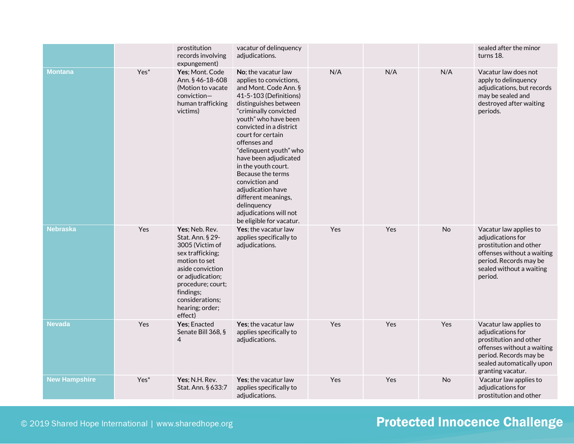|                      |                  | prostitution<br>records involving<br>expungement)                                                                                                                                                                     | vacatur of delinquency<br>adjudications.                                                                                                                                                                                                                                                                                                                                                                                                                                      |     |     |           | sealed after the minor<br>turns 18.                                                                                                                                             |
|----------------------|------------------|-----------------------------------------------------------------------------------------------------------------------------------------------------------------------------------------------------------------------|-------------------------------------------------------------------------------------------------------------------------------------------------------------------------------------------------------------------------------------------------------------------------------------------------------------------------------------------------------------------------------------------------------------------------------------------------------------------------------|-----|-----|-----------|---------------------------------------------------------------------------------------------------------------------------------------------------------------------------------|
| <b>Montana</b>       | Yes <sup>*</sup> | Yes; Mont. Code<br>Ann. § 46-18-608<br>(Motion to vacate<br>conviction-<br>human trafficking<br>victims)                                                                                                              | No; the vacatur law<br>applies to convictions,<br>and Mont. Code Ann. §<br>41-5-103 (Definitions)<br>distinguishes between<br>"criminally convicted<br>youth" who have been<br>convicted in a district<br>court for certain<br>offenses and<br>"delinquent youth" who<br>have been adjudicated<br>in the youth court.<br>Because the terms<br>conviction and<br>adjudication have<br>different meanings,<br>delinquency<br>adjudications will not<br>be eligible for vacatur. | N/A | N/A | N/A       | Vacatur law does not<br>apply to delinquency<br>adjudications, but records<br>may be sealed and<br>destroyed after waiting<br>periods.                                          |
| <b>Nebraska</b>      | Yes              | Yes; Neb. Rev.<br>Stat. Ann. § 29-<br>3005 (Victim of<br>sex trafficking;<br>motion to set<br>aside conviction<br>or adjudication;<br>procedure; court;<br>findings;<br>considerations;<br>hearing; order;<br>effect) | Yes; the vacatur law<br>applies specifically to<br>adjudications.                                                                                                                                                                                                                                                                                                                                                                                                             | Yes | Yes | <b>No</b> | Vacatur law applies to<br>adjudications for<br>prostitution and other<br>offenses without a waiting<br>period. Records may be<br>sealed without a waiting<br>period.            |
| <b>Nevada</b>        | Yes              | Yes; Enacted<br>Senate Bill 368, §<br>4                                                                                                                                                                               | Yes; the vacatur law<br>applies specifically to<br>adjudications.                                                                                                                                                                                                                                                                                                                                                                                                             | Yes | Yes | Yes       | Vacatur law applies to<br>adjudications for<br>prostitution and other<br>offenses without a waiting<br>period. Records may be<br>sealed automatically upon<br>granting vacatur. |
| <b>New Hampshire</b> | Yes <sup>*</sup> | Yes; N.H. Rev.<br>Stat. Ann. § 633:7                                                                                                                                                                                  | Yes; the vacatur law<br>applies specifically to<br>adjudications.                                                                                                                                                                                                                                                                                                                                                                                                             | Yes | Yes | No        | Vacatur law applies to<br>adjudications for<br>prostitution and other                                                                                                           |

© 2019 Shared Hope International | www.sharedhope.org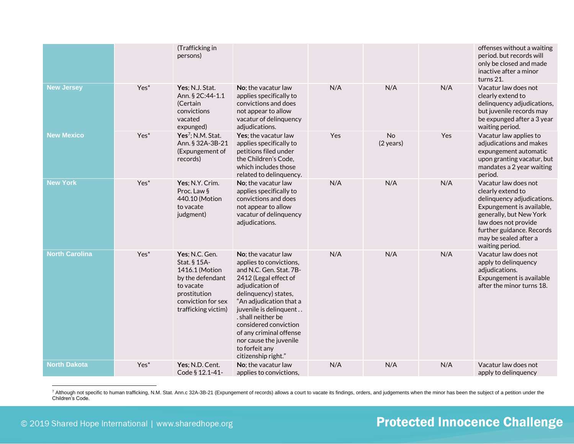|                       |                  | (Trafficking in<br>persons)                                                                                                                    |                                                                                                                                                                                                                                                                                                                                                 |     |                                  |     | offenses without a waiting<br>period. but records will<br>only be closed and made<br>inactive after a minor<br>turns 21.                                                                                                         |
|-----------------------|------------------|------------------------------------------------------------------------------------------------------------------------------------------------|-------------------------------------------------------------------------------------------------------------------------------------------------------------------------------------------------------------------------------------------------------------------------------------------------------------------------------------------------|-----|----------------------------------|-----|----------------------------------------------------------------------------------------------------------------------------------------------------------------------------------------------------------------------------------|
| <b>New Jersey</b>     | Yes <sup>*</sup> | Yes; N.J. Stat.<br>Ann. § 2C:44-1.1<br>(Certain<br>convictions<br>vacated<br>expunged)                                                         | No: the vacatur law<br>applies specifically to<br>convictions and does<br>not appear to allow<br>vacatur of delinquency<br>adjudications.                                                                                                                                                                                                       | N/A | N/A                              | N/A | Vacatur law does not<br>clearly extend to<br>delinquency adjudications,<br>but juvenile records may<br>be expunged after a 3 year<br>waiting period.                                                                             |
| <b>New Mexico</b>     | Yes <sup>*</sup> | Yes <sup>7</sup> ; N.M. Stat.<br>Ann. § 32A-3B-21<br>(Expungement of<br>records)                                                               | Yes; the vacatur law<br>applies specifically to<br>petitions filed under<br>the Children's Code,<br>which includes those<br>related to delinquency.                                                                                                                                                                                             | Yes | <b>No</b><br>$(2 \text{ years})$ | Yes | Vacatur law applies to<br>adjudications and makes<br>expungement automatic<br>upon granting vacatur, but<br>mandates a 2 year waiting<br>period.                                                                                 |
| <b>New York</b>       | Yes <sup>*</sup> | Yes; N.Y. Crim.<br>Proc. Law §<br>440.10 (Motion<br>to vacate<br>judgment)                                                                     | No; the vacatur law<br>applies specifically to<br>convictions and does<br>not appear to allow<br>vacatur of delinquency<br>adjudications.                                                                                                                                                                                                       | N/A | N/A                              | N/A | Vacatur law does not<br>clearly extend to<br>delinquency adjudications.<br>Expungement is available,<br>generally, but New York<br>law does not provide<br>further guidance. Records<br>may be sealed after a<br>waiting period. |
| <b>North Carolina</b> | Yes*             | Yes; N.C. Gen.<br>Stat. § 15A-<br>1416.1 (Motion<br>by the defendant<br>to vacate<br>prostitution<br>conviction for sex<br>trafficking victim) | No: the vacatur law<br>applies to convictions,<br>and N.C. Gen. Stat. 7B-<br>2412 (Legal effect of<br>adjudication of<br>delinquency) states,<br>"An adjudication that a<br>juvenile is delinquent<br>. shall neither be<br>considered conviction<br>of any criminal offense<br>nor cause the juvenile<br>to forfeit any<br>citizenship right." | N/A | N/A                              | N/A | Vacatur law does not<br>apply to delinquency<br>adjudications.<br>Expungement is available<br>after the minor turns 18.                                                                                                          |
| <b>North Dakota</b>   | Yes <sup>*</sup> | Yes; N.D. Cent.<br>Code § 12.1-41-                                                                                                             | No: the vacatur law<br>applies to convictions,                                                                                                                                                                                                                                                                                                  | N/A | N/A                              | N/A | Vacatur law does not<br>apply to delinquency                                                                                                                                                                                     |

7 Although not specific to human trafficking, N.M. Stat. Ann.c 32A-3B-21 (Expungement of records) allows a court to vacate its findings, orders, and judgements when the minor has been the subject of a petition under the Children's Code.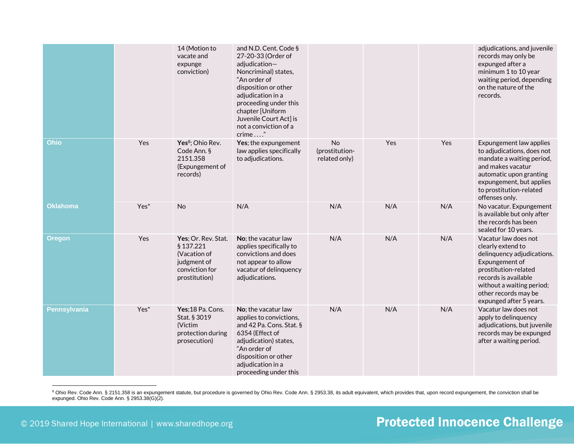|                     |                  | 14 (Motion to<br>vacate and<br>expunge<br>conviction)                                              | and N.D. Cent. Code §<br>27-20-33 (Order of<br>adjudication-<br>Noncriminal) states,<br>"An order of<br>disposition or other<br>adjudication in a<br>proceeding under this<br>chapter [Uniform<br>Juvenile Court Act] is<br>not a conviction of a<br>crime" |                                       |     |     | adjudications, and juvenile<br>records may only be<br>expunged after a<br>minimum 1 to 10 year<br>waiting period, depending<br>on the nature of the<br>records.                                                           |
|---------------------|------------------|----------------------------------------------------------------------------------------------------|-------------------------------------------------------------------------------------------------------------------------------------------------------------------------------------------------------------------------------------------------------------|---------------------------------------|-----|-----|---------------------------------------------------------------------------------------------------------------------------------------------------------------------------------------------------------------------------|
| <b>Ohio</b>         | Yes              | Yes <sup>8</sup> ; Ohio Rev.<br>Code Ann. §<br>2151.358<br>(Expungement of<br>records)             | Yes; the expungement<br>law applies specifically<br>to adjudications.                                                                                                                                                                                       | No<br>(prostitution-<br>related only) | Yes | Yes | Expungement law applies<br>to adjudications, does not<br>mandate a waiting period,<br>and makes vacatur<br>automatic upon granting<br>expungement, but applies<br>to prostitution-related<br>offenses only.               |
| <b>Oklahoma</b>     | Yes <sup>*</sup> | <b>No</b>                                                                                          | N/A                                                                                                                                                                                                                                                         | N/A                                   | N/A | N/A | No vacatur. Expungement<br>is available but only after<br>the records has been<br>sealed for 10 years.                                                                                                                    |
| <b>Oregon</b>       | Yes              | Yes; Or. Rev. Stat.<br>§ 137.221<br>(Vacation of<br>judgment of<br>conviction for<br>prostitution) | No; the vacatur law<br>applies specifically to<br>convictions and does<br>not appear to allow<br>vacatur of delinquency<br>adjudications.                                                                                                                   | N/A                                   | N/A | N/A | Vacatur law does not<br>clearly extend to<br>delinquency adjudications.<br>Expungement of<br>prostitution-related<br>records is available<br>without a waiting period;<br>other records may be<br>expunged after 5 years. |
| <b>Pennsylvania</b> | Yes <sup>*</sup> | Yes;18 Pa. Cons.<br>Stat. § 3019<br>(Victim<br>protection during<br>prosecution)                   | No; the vacatur law<br>applies to convictions,<br>and 42 Pa. Cons. Stat. §<br>6354 (Effect of<br>adjudication) states,<br>"An order of<br>disposition or other<br>adjudication in a<br>proceeding under this                                                | N/A                                   | N/A | N/A | Vacatur law does not<br>apply to delinquency<br>adjudications, but juvenile<br>records may be expunged<br>after a waiting period.                                                                                         |

<sup>8</sup> Ohio Rev. Code Ann. § 2151.358 is an expungement statute, but procedure is governed by Ohio Rev. Code Ann. § 2953.38, its adult equivalent, which provides that, upon record expungement, the conviction shall be expunged. Ohio Rev. Code Ann. § 2953.38(G)(2).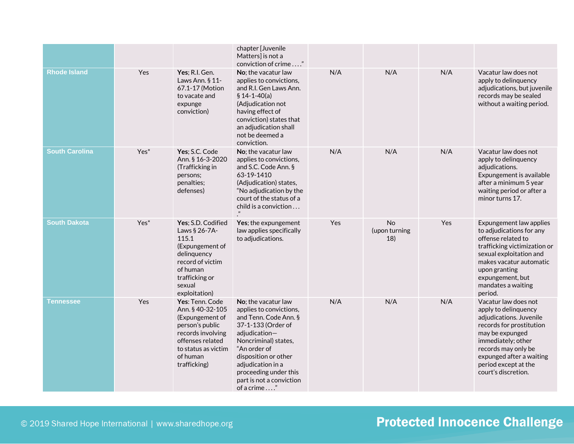|                       |                  |                                                                                                                                                                       | chapter [Juvenile<br>Matters] is not a<br>conviction of crime "                                                                                                                                                                                                         |     |                            |     |                                                                                                                                                                                                                                                |
|-----------------------|------------------|-----------------------------------------------------------------------------------------------------------------------------------------------------------------------|-------------------------------------------------------------------------------------------------------------------------------------------------------------------------------------------------------------------------------------------------------------------------|-----|----------------------------|-----|------------------------------------------------------------------------------------------------------------------------------------------------------------------------------------------------------------------------------------------------|
| <b>Rhode Island</b>   | <b>Yes</b>       | Yes; R.I. Gen.<br>Laws Ann. § 11-<br>67.1-17 (Motion<br>to vacate and<br>expunge<br>conviction)                                                                       | No; the vacatur law<br>applies to convictions,<br>and R.I. Gen Laws Ann.<br>$$14-1-40(a)$<br>(Adjudication not<br>having effect of<br>conviction) states that<br>an adjudication shall<br>not be deemed a<br>conviction.                                                | N/A | N/A                        | N/A | Vacatur law does not<br>apply to delinquency<br>adjudications, but juvenile<br>records may be sealed<br>without a waiting period.                                                                                                              |
| <b>South Carolina</b> | Yes <sup>*</sup> | Yes; S.C. Code<br>Ann. § 16-3-2020<br>(Trafficking in<br>persons:<br>penalties;<br>defenses)                                                                          | No; the vacatur law<br>applies to convictions,<br>and S.C. Code Ann. §<br>63-19-1410<br>(Adjudication) states,<br>"No adjudication by the<br>court of the status of a<br>child is a conviction<br>$\boldsymbol{\eta}$                                                   | N/A | N/A                        | N/A | Vacatur law does not<br>apply to delinguency<br>adjudications.<br>Expungement is available<br>after a minimum 5 year<br>waiting period or after a<br>minor turns 17.                                                                           |
| <b>South Dakota</b>   | Yes <sup>*</sup> | Yes: S.D. Codified<br>Laws § 26-7A-<br>115.1<br>(Expungement of<br>delinquency<br>record of victim<br>of human<br>trafficking or<br>sexual<br>exploitation)           | Yes; the expungement<br>law applies specifically<br>to adjudications.                                                                                                                                                                                                   | Yes | No<br>(upon turning<br>18) | Yes | Expungement law applies<br>to adjudications for any<br>offense related to<br>trafficking victimization or<br>sexual exploitation and<br>makes vacatur automatic<br>upon granting<br>expungement, but<br>mandates a waiting<br>period.          |
| <b>Tennessee</b>      | Yes              | Yes: Tenn. Code<br>Ann. § 40-32-105<br>(Expungement of<br>person's public<br>records involving<br>offenses related<br>to status as victim<br>of human<br>trafficking) | No; the vacatur law<br>applies to convictions,<br>and Tenn. Code Ann. §<br>37-1-133 (Order of<br>adjudication-<br>Noncriminal) states,<br>"An order of<br>disposition or other<br>adjudication in a<br>proceeding under this<br>part is not a conviction<br>of a crime" | N/A | N/A                        | N/A | Vacatur law does not<br>apply to delinquency<br>adjudications. Juvenile<br>records for prostitution<br>may be expunged<br>immediately; other<br>records may only be<br>expunged after a waiting<br>period except at the<br>court's discretion. |

#### © 2019 Shared Hope International | www.sharedhope.org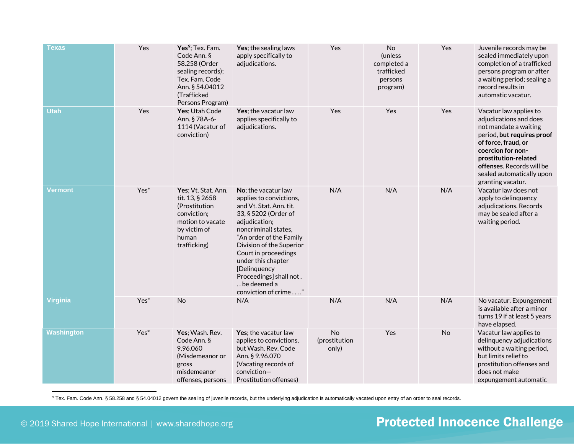| Texas             | Yes              | Yes <sup>9</sup> ; Tex. Fam.<br>Code Ann. §<br>58.258 (Order<br>sealing records);<br>Tex. Fam. Code<br>Ann. § 54.04012<br>(Trafficked<br>Persons Program) | Yes; the sealing laws<br>apply specifically to<br>adjudications.                                                                                                                                                                                                                                                                  | Yes                          | No<br>(unless<br>completed a<br>trafficked<br>persons<br>program) | Yes       | Juvenile records may be<br>sealed immediately upon<br>completion of a trafficked<br>persons program or after<br>a waiting period; sealing a<br>record results in<br>automatic vacatur.                                                                     |
|-------------------|------------------|-----------------------------------------------------------------------------------------------------------------------------------------------------------|-----------------------------------------------------------------------------------------------------------------------------------------------------------------------------------------------------------------------------------------------------------------------------------------------------------------------------------|------------------------------|-------------------------------------------------------------------|-----------|------------------------------------------------------------------------------------------------------------------------------------------------------------------------------------------------------------------------------------------------------------|
| <b>Utah</b>       | Yes              | Yes; Utah Code<br>Ann. § 78A-6-<br>1114 (Vacatur of<br>conviction)                                                                                        | Yes; the vacatur law<br>applies specifically to<br>adjudications.                                                                                                                                                                                                                                                                 | Yes                          | Yes                                                               | Yes       | Vacatur law applies to<br>adjudications and does<br>not mandate a waiting<br>period, but requires proof<br>of force, fraud, or<br>coercion for non-<br>prostitution-related<br>offenses. Records will be<br>sealed automatically upon<br>granting vacatur. |
| Vermont           | Yes <sup>*</sup> | Yes; Vt. Stat. Ann.<br>tit. 13, § 2658<br>(Prostitution<br>conviction;<br>motion to vacate<br>by victim of<br>human<br>trafficking)                       | No; the vacatur law<br>applies to convictions,<br>and Vt. Stat. Ann. tit.<br>33, § 5202 (Order of<br>adjudication;<br>noncriminal) states,<br>"An order of the Family<br>Division of the Superior<br>Court in proceedings<br>under this chapter<br>[Delinquency<br>Proceedings] shall not.<br>be deemed a<br>conviction of crime" | N/A                          | N/A                                                               | N/A       | Vacatur law does not<br>apply to delinquency<br>adjudications. Records<br>may be sealed after a<br>waiting period.                                                                                                                                         |
| <b>Virginia</b>   | Yes <sup>*</sup> | <b>No</b>                                                                                                                                                 | N/A                                                                                                                                                                                                                                                                                                                               | N/A                          | N/A                                                               | N/A       | No vacatur. Expungement<br>is available after a minor<br>turns 19 if at least 5 years<br>have elapsed.                                                                                                                                                     |
| <b>Washington</b> | Yes <sup>*</sup> | Yes; Wash. Rev.<br>Code Ann. §<br>9.96.060<br>(Misdemeanor or<br>gross<br>misdemeanor<br>offenses, persons                                                | Yes; the vacatur law<br>applies to convictions,<br>but Wash. Rev. Code<br>Ann. § 9.96.070<br>(Vacating records of<br>conviction-<br>Prostitution offenses)                                                                                                                                                                        | No<br>(prostitution<br>only) | Yes                                                               | <b>No</b> | Vacatur law applies to<br>delinquency adjudications<br>without a waiting period,<br>but limits relief to<br>prostitution offenses and<br>does not make<br>expungement automatic                                                                            |

9 Tex. Fam. Code Ann. § 58.258 and § 54.04012 govern the sealing of juvenile records, but the underlying adjudication is automatically vacated upon entry of an order to seal records.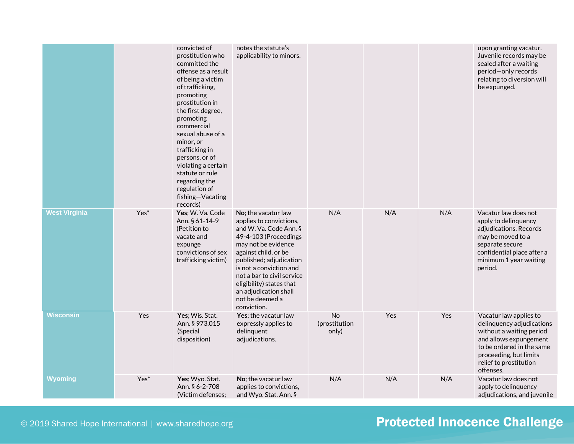|                      |                  | convicted of<br>prostitution who<br>committed the<br>offense as a result<br>of being a victim<br>of trafficking,<br>promoting<br>prostitution in<br>the first degree,<br>promoting<br>commercial<br>sexual abuse of a<br>minor, or<br>trafficking in<br>persons, or of<br>violating a certain<br>statute or rule<br>regarding the<br>regulation of<br>fishing-Vacating | notes the statute's<br>applicability to minors.                                                                                                                                                                                                                                                                             |                              |     |     | upon granting vacatur.<br>Juvenile records may be<br>sealed after a waiting<br>period-only records<br>relating to diversion will<br>be expunged.                                                        |
|----------------------|------------------|------------------------------------------------------------------------------------------------------------------------------------------------------------------------------------------------------------------------------------------------------------------------------------------------------------------------------------------------------------------------|-----------------------------------------------------------------------------------------------------------------------------------------------------------------------------------------------------------------------------------------------------------------------------------------------------------------------------|------------------------------|-----|-----|---------------------------------------------------------------------------------------------------------------------------------------------------------------------------------------------------------|
| <b>West Virginia</b> | Yes <sup>*</sup> | records)<br>Yes; W. Va. Code<br>Ann. § 61-14-9<br>(Petition to<br>vacate and<br>expunge<br>convictions of sex<br>trafficking victim)                                                                                                                                                                                                                                   | No: the vacatur law<br>applies to convictions,<br>and W. Va. Code Ann. §<br>49-4-103 (Proceedings<br>may not be evidence<br>against child, or be<br>published; adjudication<br>is not a conviction and<br>not a bar to civil service<br>eligibility) states that<br>an adjudication shall<br>not be deemed a<br>conviction. | N/A                          | N/A | N/A | Vacatur law does not<br>apply to delinquency<br>adjudications. Records<br>may be moved to a<br>separate secure<br>confidential place after a<br>minimum 1 year waiting<br>period.                       |
| <b>Wisconsin</b>     | Yes              | Yes; Wis. Stat.<br>Ann. § 973.015<br>(Special<br>disposition)                                                                                                                                                                                                                                                                                                          | Yes; the vacatur law<br>expressly applies to<br>delinquent<br>adjudications.                                                                                                                                                                                                                                                | No<br>(prostitution<br>only) | Yes | Yes | Vacatur law applies to<br>delinquency adjudications<br>without a waiting period<br>and allows expungement<br>to be ordered in the same<br>proceeding, but limits<br>relief to prostitution<br>offenses. |
| Wyoming              | Yes <sup>*</sup> | Yes; Wyo. Stat.<br>Ann. § 6-2-708<br>(Victim defenses:                                                                                                                                                                                                                                                                                                                 | No; the vacatur law<br>applies to convictions,<br>and Wyo. Stat. Ann. §                                                                                                                                                                                                                                                     | N/A                          | N/A | N/A | Vacatur law does not<br>apply to delinquency<br>adjudications, and juvenile                                                                                                                             |

© 2019 Shared Hope International | www.sharedhope.org